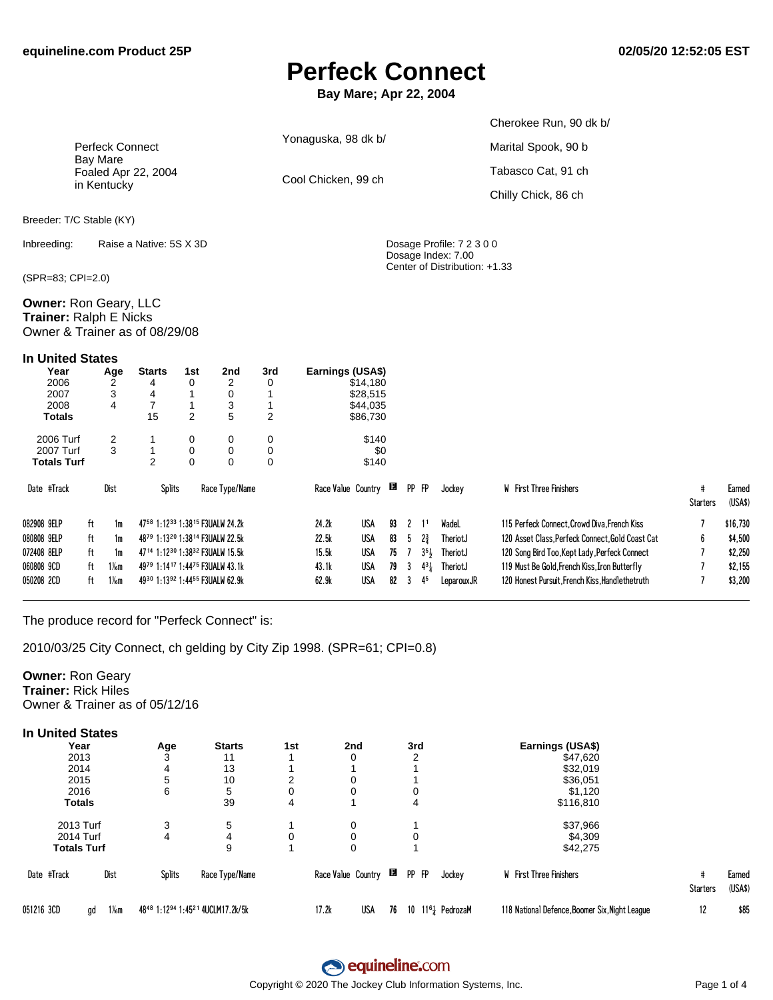### **Perfeck Connect**

Bay Mare; Apr 22, 2004

|                                                                                   |                        |                    |                                                                     |                                      |                         |                                      |                     |                                              |              |        |                          |                                                 | Cherokee Run, 90 dk b/                                                                           |                      |                    |
|-----------------------------------------------------------------------------------|------------------------|--------------------|---------------------------------------------------------------------|--------------------------------------|-------------------------|--------------------------------------|---------------------|----------------------------------------------|--------------|--------|--------------------------|-------------------------------------------------|--------------------------------------------------------------------------------------------------|----------------------|--------------------|
|                                                                                   | <b>Perfeck Connect</b> |                    |                                                                     |                                      |                         |                                      | Yonaguska, 98 dk b/ |                                              |              |        |                          |                                                 | Marital Spook, 90 b                                                                              |                      |                    |
|                                                                                   | <b>Bay Mare</b>        |                    | Foaled Apr 22, 2004                                                 |                                      |                         |                                      | Cool Chicken, 99 ch |                                              |              |        |                          |                                                 | Tabasco Cat, 91 ch                                                                               |                      |                    |
|                                                                                   | in Kentucky            |                    |                                                                     |                                      |                         |                                      |                     |                                              |              |        |                          |                                                 | Chilly Chick, 86 ch                                                                              |                      |                    |
| Breeder: T/C Stable (KY)                                                          |                        |                    |                                                                     |                                      |                         |                                      |                     |                                              |              |        |                          |                                                 |                                                                                                  |                      |                    |
| Inbreeding:                                                                       |                        |                    | Raise a Native: 5S X 3D                                             |                                      |                         |                                      |                     |                                              |              |        |                          | Dosage Profile: 7 2 3 0 0<br>Dosage Index: 7.00 |                                                                                                  |                      |                    |
| (SPR=83; CPI=2.0)                                                                 |                        |                    |                                                                     |                                      |                         |                                      |                     |                                              |              |        |                          | Center of Distribution: +1.33                   |                                                                                                  |                      |                    |
| Owner: Ron Geary, LLC<br>Trainer: Ralph E Nicks<br>Owner & Trainer as of 08/29/08 |                        |                    |                                                                     |                                      |                         |                                      |                     |                                              |              |        |                          |                                                 |                                                                                                  |                      |                    |
| <b>In United States</b>                                                           |                        |                    |                                                                     |                                      |                         |                                      |                     |                                              |              |        |                          |                                                 |                                                                                                  |                      |                    |
| Year<br>2006<br>2007<br>2008<br><b>Totals</b>                                     |                        | Age<br>2<br>3<br>4 | <b>Starts</b><br>4<br>4<br>$\overline{7}$<br>15                     | 1st<br>0<br>1<br>1<br>$\overline{2}$ | 2nd<br>2<br>0<br>3<br>5 | 3rd<br>0<br>1<br>1<br>$\overline{2}$ | Earnings (USA\$)    | \$14,180<br>\$28,515<br>\$44,035<br>\$86,730 |              |        |                          |                                                 |                                                                                                  |                      |                    |
| 2006 Turf<br>2007 Turf                                                            |                        | 2<br>3             | 1<br>1                                                              | 0<br>$\mathbf 0$                     | 0<br>0                  | 0<br>0                               |                     | \$140<br>\$0                                 |              |        |                          |                                                 |                                                                                                  |                      |                    |
| <b>Totals Turf</b>                                                                |                        |                    | $\overline{2}$                                                      | $\Omega$                             | 0                       | $\Omega$                             |                     | \$140                                        |              |        |                          |                                                 |                                                                                                  |                      |                    |
| Date #Track                                                                       | Dist                   |                    | <b>Splits</b>                                                       |                                      | Race Type/Name          |                                      |                     | Race Value Country                           |              | PP FP  |                          | Jockey                                          | <b>W</b> First Three Finishers                                                                   | #<br><b>Starters</b> | Earned<br>(USA\$)  |
| 082908 9ELP                                                                       | ft                     | 1m                 | 4758 1:1233 1:3815 F3UALW 24.2k                                     |                                      |                         |                                      | 24.2k               | <b>USA</b>                                   | 93           | 2      | 1 <sup>1</sup>           | WadeL                                           | 115 Perfeck Connect. Crowd Diva. French Kiss                                                     |                      | \$16,730           |
| 080808 9ELP                                                                       | ft                     | 1m                 | 4879 1:1320 1:3814 F3UALW 22.5k                                     |                                      |                         |                                      | 22.5k               | <b>USA</b>                                   | 83           | 5      | $2\frac{3}{4}$           | TheriotJ                                        | 120 Asset Class, Perfeck Connect, Gold Coast Cat                                                 | 6                    | \$4,500            |
| 072408 8ELP                                                                       | ft                     | 1m                 | 47 <sup>14</sup> 1:12 <sup>30</sup> 1:38 <sup>32</sup> F3UALW 15.5k |                                      |                         |                                      | 15.5k               | USA                                          | $75 \quad 7$ |        | $3^{5}$                  | TheriotJ                                        | 120 Song Bird Too, Kept Lady, Perfeck Connect                                                    |                      | \$2,250            |
| 060808 9CD<br>050208 2CD                                                          | ft<br>ft               | $1\%$ m<br>$1\%$ m | 4979 1:1417 1:4475 F3UALW 43.1k<br>4930 1:1392 1:4455 F3UALW 62.9k  |                                      |                         |                                      | 43.1k<br>62.9k      | USA<br><b>USA</b>                            | 79<br>82     | 3<br>3 | $4^{3}\frac{1}{4}$<br>45 | TheriotJ<br>LeparouxJR                          | 119 Must Be Gold, French Kiss, Iron Butterfly<br>120 Honest Pursuit. French Kiss. Handlethetruth |                      | \$2,155<br>\$3,200 |

The produce record for "Perfeck Connect" is:

2010/03/25 City Connect, ch gelding by City Zip 1998. (SPR=61; CPI=0.8)

#### **Owner: Ron Geary Trainer: Rick Hiles** Owner & Trainer as of 05/12/16

| <b>In United States</b> |                        |        |                                  |     |                    |    |       |                    |                                                |                      |                   |
|-------------------------|------------------------|--------|----------------------------------|-----|--------------------|----|-------|--------------------|------------------------------------------------|----------------------|-------------------|
| Year                    |                        | Age    | <b>Starts</b>                    | 1st | 2nd                |    | 3rd   |                    | Earnings (USA\$)                               |                      |                   |
| 2013                    |                        |        | 11                               |     | $\Omega$           |    | ◠     |                    | \$47,620                                       |                      |                   |
| 2014                    |                        | 4      | 13                               |     |                    |    |       |                    | \$32,019                                       |                      |                   |
| 2015                    |                        | 5      | 10                               |     | 0                  |    |       |                    | \$36,051                                       |                      |                   |
| 2016                    |                        | 6      | 5                                |     | 0                  |    |       |                    | \$1,120                                        |                      |                   |
| <b>Totals</b>           |                        |        | 39                               | 4   |                    |    | 4     |                    | \$116,810                                      |                      |                   |
| 2013 Turf               |                        | 3      | 5                                |     | 0                  |    |       |                    | \$37,966                                       |                      |                   |
| 2014 Turf               |                        | 4      | 4                                | 0   | 0                  |    | 0     |                    | \$4,309                                        |                      |                   |
| <b>Totals Turf</b>      |                        |        | 9                                |     | 0                  |    |       |                    | \$42,275                                       |                      |                   |
| Date #Track             | Dist                   | Splits | Race Type/Name                   |     | Race Value Country | B  | PP FP | Jockey             | <b>W</b> First Three Finishers                 | #<br><b>Starters</b> | Earned<br>(USA\$) |
| 051216 3CD              | $1\frac{1}{6}$ m<br>gd |        | 4848 1:1294 1:4521 4UCLM17.2k/5k |     | USA<br>17.2k       | 76 |       | 10 $1161$ PedrozaM | 118 National Defence, Boomer Six, Night League | 12                   | \$85              |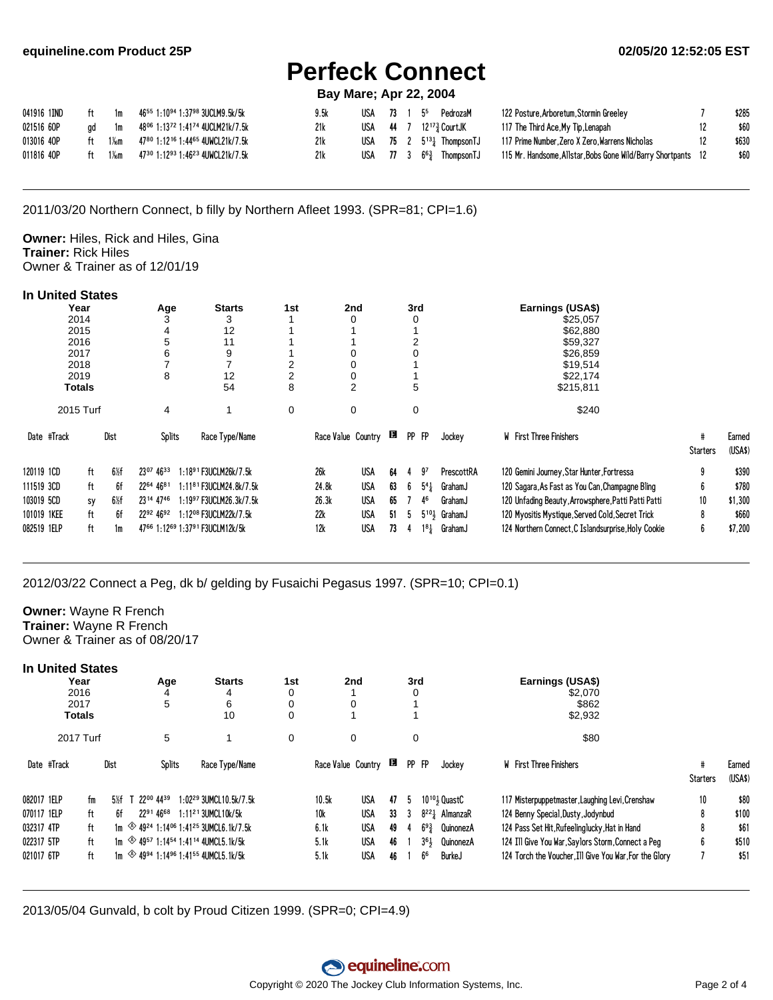# **Perfeck Connect**

### **Bay Mare; Apr 22, 2004**

| 041916 1IND | 1m | 4655 1:1094 1:3798 3UCLM9.5k/5k                                              | 9.5k | USA | $73$ 1 | $5^5$                                 | PedrozaM | 122 Posture, Arboretum, Stormin Greeley                       | \$285 |
|-------------|----|------------------------------------------------------------------------------|------|-----|--------|---------------------------------------|----------|---------------------------------------------------------------|-------|
| 021516 6OP  |    | ad 1m 48 <sup>06</sup> 1:13 <sup>72</sup> 1:41 <sup>74</sup> 4UCLM21k/7.5k   | 21k  |     |        | USA 44 7 $12^{17}\frac{3}{7}$ CourtJK |          | 117 The Third Ace,My Tip,Lenapah                              | \$60  |
| 013016 4OP  |    |                                                                              | 21k  |     |        | USA $75 \t2 \t5^{13}$ ThompsonTJ      |          | 117 Prime Number, Zero X Zero, Warrens Nicholas               | \$630 |
| 011816 40P  |    | $1\%$ m 47 <sup>30</sup> 1:12 <sup>93</sup> 1:46 <sup>23</sup> 4UWCL21k/7.5k | 21k  |     |        | USA 77 3 $6\frac{63}{4}$ Thompson TJ  |          | 115 Mr. Handsome, Allstar, Bobs Gone Wild/Barry Shortpants 12 | \$60  |

2011/03/20 Northern Connect, b filly by Northern Afleet 1993. (SPR=81; CPI=1.6)

Owner: Hiles, Rick and Hiles, Gina **Trainer: Rick Hiles** Owner & Trainer as of 12/01/19

#### **In United States**

|             | Year      |                 | Age       | <b>Starts</b>                       | 1st | 2nd                |            |    | 3rd       |           |                  | Earnings (USA\$)                                    |          |                   |
|-------------|-----------|-----------------|-----------|-------------------------------------|-----|--------------------|------------|----|-----------|-----------|------------------|-----------------------------------------------------|----------|-------------------|
|             | 2014      |                 |           | 3                                   |     |                    |            |    |           |           |                  | \$25,057                                            |          |                   |
|             | 2015      |                 | 4         | 12                                  |     |                    |            |    |           |           |                  | \$62,880                                            |          |                   |
|             | 2016      |                 | 5         | 11                                  |     |                    |            |    |           |           |                  | \$59,327                                            |          |                   |
|             | 2017      |                 | 6         | 9                                   |     |                    |            |    |           |           |                  | \$26,859                                            |          |                   |
|             | 2018      |                 |           |                                     |     | 0                  |            |    |           |           |                  | \$19,514                                            |          |                   |
|             | 2019      |                 | 8         | 12                                  |     | 0                  |            |    |           |           |                  | \$22,174                                            |          |                   |
|             | Totals    |                 |           | 54                                  | 8   | 2                  |            |    | 5         |           |                  | \$215,811                                           |          |                   |
|             | 2015 Turf |                 | 4         |                                     | 0   | 0                  |            |    | 0         |           |                  | \$240                                               |          |                   |
| Date #Track |           | Dist            | Splits    | Race Type/Name                      |     | Race Value Country |            |    | <b>PP</b> | <b>FP</b> | Jockey           | W First Three Finishers                             | Starters | Earned<br>(USA\$) |
| 120119 1CD  | ft        | $6\frac{1}{2}f$ | 2307 4633 | $1:1891$ F3UCLM26k/7.5k             |     | <b>26k</b>         | USA        | 64 |           | 97        | PrescottRA       | 120 Gemini Journey, Star Hunter, Fortressa          |          | \$390             |
| 111519 3CD  | ft        | 6f              | 2264 4681 | 1:11 <sup>81</sup> F3UCLM24.8k/7.5k |     | 24.8k              | USA        | 63 | b         | $5^{4}$   | GrahamJ          | 120 Sagara, As Fast as You Can, Champagne Bling     |          | \$780             |
| 103019 5CD  | sy        | $6\frac{1}{2}f$ | 2314 4746 | 1:19 <sup>97</sup> F3UCLM26.3k/7.5k |     | 26.3k              | USA        | 65 |           | 46        | GrahamJ          | 120 Unfading Beauty, Arrowsphere, Patti Patti Patti | 10       | \$1,300           |
| 101019 1KEE | ft        | 6f              | 2292 4692 | 1:1208 F3UCLM22k/7.5k               |     | 22k                | <b>USA</b> | 51 | h         |           | $5^{10}$ GrahamJ | 120 Myositis Mystique, Served Cold, Secret Trick    |          | \$660             |
|             |           |                 |           |                                     |     |                    |            |    |           |           |                  |                                                     |          |                   |
| 082519 1ELP | ft        | 1m              |           | 4766 1:1269 1:3791 F3UCLM12k/5k     |     | 12k                | USA        | 73 |           | $1^{8}$   | GrahamJ          | 124 Northern Connect, C Islandsurprise, Holy Cookie |          | \$7,200           |

2012/03/22 Connect a Peg, dk b/ gelding by Fusaichi Pegasus 1997. (SPR=10; CPI=0.1)

#### **Owner: Wayne R French** Trainer: Wayne R French Owner & Trainer as of 08/20/17

| In United States<br>Year<br>2016<br>2017<br><b>Totals</b> |    |      |           | Age<br>5      | <b>Starts</b><br>4<br>6<br>10                                                      | 1st<br>0<br>0<br>0 |                    | 2nd        |    | 3rd   |                     |               | Earnings (USA\$)<br>\$2,070<br>\$862<br>\$2,932        |                 |                   |
|-----------------------------------------------------------|----|------|-----------|---------------|------------------------------------------------------------------------------------|--------------------|--------------------|------------|----|-------|---------------------|---------------|--------------------------------------------------------|-----------------|-------------------|
| 2017 Turf                                                 |    |      |           | 5             |                                                                                    | $\mathbf 0$        |                    | 0          |    | 0     |                     |               | \$80                                                   |                 |                   |
| Date #Track                                               |    | Dist |           | <b>Splits</b> | Race Type/Name                                                                     |                    | Race Value Country |            |    | PP FP |                     | Jockey        | W First Three Finishers                                | <b>Starters</b> | Earned<br>(USA\$) |
| 082017 1ELP                                               | fm | 5%f  | 2200 4439 |               | $1:02^{29}$ 3UMCL 10.5k/7.5k                                                       |                    | 10.5k              | USA        | 47 | ÷.    | $10^{10}$ Quast $C$ |               | 117 Misterpuppetmaster, Laughing Levi, Crenshaw        | 10              | \$80              |
| 070117 1ELP                                               | ft | 6f   | 2291 4668 |               | $1:11^{21}$ 3UMCL 10k/5k                                                           |                    | <b>10k</b>         | USA        | 33 | -3    | $8^{22}$ AlmanzaR   |               | 124 Benny Special, Dusty, Jodynbud                     | 8               | \$100             |
| 032317 4TP                                                | ft |      |           |               | 1m $\otimes$ 49 <sup>24</sup> 1:14 <sup>06</sup> 1:41 <sup>25</sup> 3UMCL6.1k/7.5k |                    | 6.1k               | USA        | 49 |       | $69\frac{3}{7}$     | QuinonezA     | 124 Pass Set Hit, Rufeelinglucky, Hat in Hand          | 8               | \$61              |
| 022317 5TP                                                | ft |      |           |               | 1m $\otimes$ 49 <sup>57</sup> 1:14 <sup>54</sup> 1:41 <sup>14</sup> 4UMCL5.1k/5k   |                    | 5.1k               | USA        | 46 |       | 3 <sup>61</sup>     | QuinonezA     | 124 Ill Give You War, Saylors Storm, Connect a Peg     | 6               | \$510             |
| 021017 6TP                                                | ft |      |           |               | 1m $\otimes$ 49 <sup>94</sup> 1:14 <sup>96</sup> 1:41 <sup>55</sup> 4UMCL5.1k/5k   |                    | 5.1k               | <b>USA</b> | 46 |       | 6 <sup>6</sup>      | <b>BurkeJ</b> | 124 Torch the Voucher, Ill Give You War, For the Glory |                 | \$51              |

2013/05/04 Gunvald, b colt by Proud Citizen 1999. (SPR=0; CPI=4.9)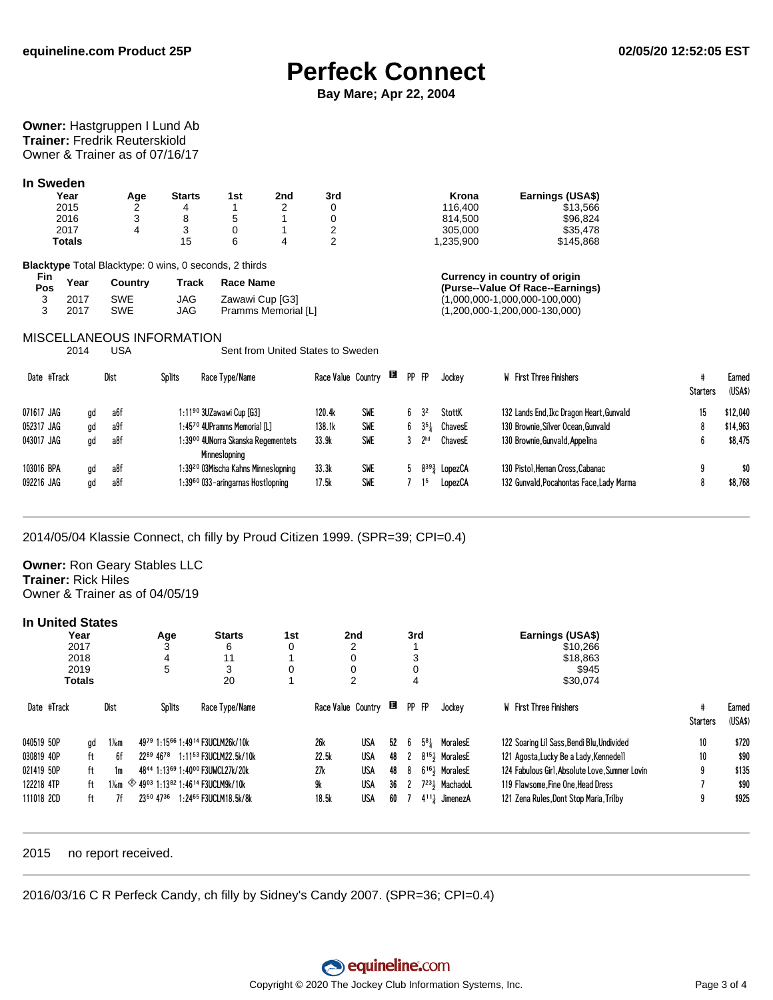### **Perfeck Connect**

Bay Mare; Apr 22, 2004

#### Owner: Hastgruppen I Lund Ab **Trainer: Fredrik Reuterskiold** Owner & Trainer as of 07/16/17

#### In Sweden

| Year          | Age | Starts | 1st | 2nd | 3rd | Krona     | Earnings (USA\$) |
|---------------|-----|--------|-----|-----|-----|-----------|------------------|
| 2015          |     |        |     |     |     | 116.400   | \$13.566         |
| 2016          | ບ   |        |     |     |     | 814.500   | \$96.824         |
| 2017          |     |        |     |     |     | 305.000   | \$35,478         |
| <b>Totals</b> |     | 15     |     |     |     | 1.235.900 | \$145.868        |

Blacktype Total Blacktype: 0 wins, 0 seconds, 2 thirds

| rın.<br>Pos | Year | Country | Track | <b>Race Name</b>    |
|-------------|------|---------|-------|---------------------|
|             | 2017 | SWE     | JAG   | Zawawi Cup [G3]     |
| 3           | 2017 | SWE     | JAG   | Pramms Memorial [L] |

#### Currency in country of origin (Purse--Value Of Race--Earnings)  $(1,000,000-1,000,000-100,000)$  $(1,200,000-1,200,000-130,000)$

#### **MISCELLANEOUS INFORMATION**

2014 **USA** Sent from United States to Sweden

|            | Date #Track |    | Dist | Splits | Race Type/Name                                      | Race Value Country |            | в | PP FP |                 | Jockey  | W First Three Finishers                  | <b>Starters</b> | Earned<br>(USA\$) |
|------------|-------------|----|------|--------|-----------------------------------------------------|--------------------|------------|---|-------|-----------------|---------|------------------------------------------|-----------------|-------------------|
| 071617 JAG |             | qd | a6f  |        | $1:1190$ 3UZawawi Cup [G3]                          | 120.4k             | SWE        |   |       | 32              | StottK  | 132 Lands End, Ikc Dragon Heart, Gunvald |                 | \$12,040          |
| 052317 JAG |             | ad | a9f  |        | 1:4570 4UPramms Memorial [L]                        | 138.1k             | <b>SWE</b> |   |       | 354             | ChavesE | 130 Brownie, Silver Ocean, Gunvald       |                 | \$14,963          |
| 043017 JAG |             | ad | a8f  |        | 1:39ºº 4UNorra Skanska Regementets<br>Minneslopning | 33.9k              | <b>SWE</b> |   |       | 2 <sub>hd</sub> | ChavesE | 130 Brownie, Gunvald, Appelina           |                 | \$8.475           |
| 103016 BPA |             | ad | a8f  |        | 1:39 <sup>20</sup> 03Mischa Kahns Minneslopning     | 33.3k              | <b>SWE</b> |   |       | 8393            | LopezCA | 130 Pistol.Heman Cross.Cabanac           |                 | \$0               |
| 092216 JAG |             | ad | a8f  |        | 1:39 <sup>60</sup> 033-aringarnas Hostlopning       | 17.5k              | <b>SWE</b> |   |       |                 | LopezCA | 132 Gunvald, Pocahontas Face, Lady Marma |                 | \$8.768           |

2014/05/04 Klassie Connect, ch filly by Proud Citizen 1999. (SPR=39; CPI=0.4)

**Owner: Ron Geary Stables LLC Trainer: Rick Hiles** Owner & Trainer as of 04/05/19

#### **In United States**

|             | Year<br>2017 |         | Age           | <b>Starts</b><br>6                                                                               | 1st |                    | 2 <sub>nd</sub><br>າ |    | 3rd   |     |                                       | Earnings (USA\$)<br>\$10.266                   |                 |                   |
|-------------|--------------|---------|---------------|--------------------------------------------------------------------------------------------------|-----|--------------------|----------------------|----|-------|-----|---------------------------------------|------------------------------------------------|-----------------|-------------------|
|             | 2018         |         | 4             | 11                                                                                               |     |                    | 0                    |    | 3     |     |                                       | \$18,863                                       |                 |                   |
|             | 2019         |         | 5             | 3                                                                                                | 0   |                    | 0                    |    | 0     |     |                                       | \$945                                          |                 |                   |
|             | Totals       |         |               | 20                                                                                               |     |                    | 2                    |    | 4     |     |                                       | \$30,074                                       |                 |                   |
| Date #Track |              | Dist    | <b>Splits</b> | Race Type/Name                                                                                   |     | Race Value Country |                      |    | PP FP |     | Jockey                                | <b>W</b> First Three Finishers                 | <b>Starters</b> | Earned<br>(USA\$) |
| 040519 5OP  | ad           | $1\%$ m |               | 4979 1:1566 1:4914 F3UCLM26k/10k                                                                 |     | 26k                | USA                  | 52 | b     | 581 | MoralesE                              | 122 Soaring Lil Sass, Bendi Blu, Undivided     | 10              | \$720             |
| 030819 40P  | ft           | 6f      | 2289 4678     | 1:1153 F3UCLM22.5k/10k                                                                           |     | 22.5k              | USA                  | 48 | 2     |     | 8 <sup>15</sup> , MoralesE            | 121 Agosta, Lucky Be a Lady, Kennedell         | 10              | \$90              |
| 021419 50P  | ft           | 1m      |               | 4844 1:1369 1:4000 F3UWCL27k/20k                                                                 |     | 27k                | USA                  | 48 | 8     |     | 6 <sup>16</sup> <sup>3</sup> MoralesE | 124 Fabulous Girl, Absolute Love, Summer Lovin | 9               | \$135             |
| 122218 4TP  | ft           |         |               | $1\frac{1}{6}$ $\frac{1}{2}$ 49 <sup>03</sup> 1:13 <sup>82</sup> 1:46 <sup>14</sup> F3UCLM9k/10k |     | 9k                 | USA                  | 36 | 2     |     | $7^{23}$ Machadol                     | 119 Flawsome. Fine One. Head Dress             |                 | \$90              |
| 111018 2CD  | ft           | 7f      | 2350 4736     | 1:2465 F3UCLM18.5k/8k                                                                            |     | 18.5k              | USA                  | 60 |       |     | $4^{11}$ JimenezA                     | 121 Zena Rules, Dont Stop Maria, Trilby        | 9               | \$925             |

#### 2015 no report received.

2016/03/16 C R Perfeck Candy, ch filly by Sidney's Candy 2007. (SPR=36; CPI=0.4)